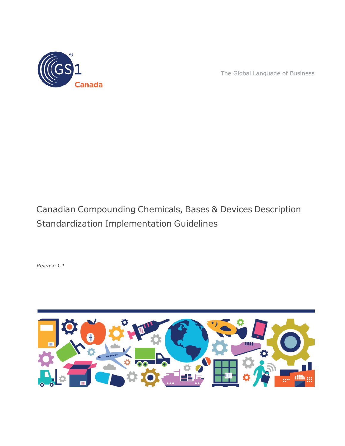

The Global Language of Business

# Canadian Compounding Chemicals, Bases & Devices Description Standardization Implementation Guidelines

*Release 1.1*

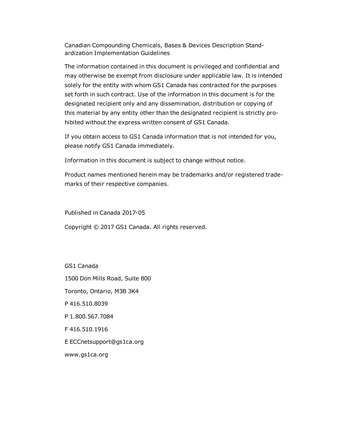Canadian Compounding Chemicals, Bases & Devices Description Standardization Implementation Guidelines

The information contained in this document is privileged and confidential and may otherwise be exempt from disclosure under applicable law. It is intended solely for the entity with whom GS1 Canada has contracted for the purposes set forth in such contract. Use of the information in this document is for the designated recipient only and any dissemination, distribution or copying of this material by any entity other than the designated recipient is strictly prohibited without the express written consent of GS1 Canada.

If you obtain access to GS1 Canada information that is not intended for you, please notify GS1 Canada immediately.

Information in this document is subject to change without notice.

Product names mentioned herein may be trademarks and/or registered trademarks of their respective companies.

Published in Canada 2017-05

Copyright © 2017 GS1 Canada. All rights reserved.

GS1 Canada

1500 Don Mills Road, Suite 800

Toronto, Ontario, M3B 3K4

P 416.510.8039

P 1.800.567.7084

F 416.510.1916

E ECCnetsupport@gs1ca.org

www.gs1ca.org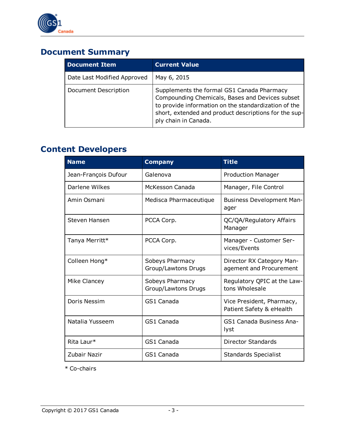

## **Document Summary**

| <b>Document Item</b>        | <b>Current Value</b>                                                                                                                                                                                                                   |
|-----------------------------|----------------------------------------------------------------------------------------------------------------------------------------------------------------------------------------------------------------------------------------|
| Date Last Modified Approved | May 6, 2015                                                                                                                                                                                                                            |
| Document Description        | Supplements the formal GS1 Canada Pharmacy<br>Compounding Chemicals, Bases and Devices subset<br>to provide information on the standardization of the<br>short, extended and product descriptions for the sup-<br>ply chain in Canada. |

## **Content Developers**

| <b>Name</b>          | <b>Company</b>                         | <b>Title</b>                                          |
|----------------------|----------------------------------------|-------------------------------------------------------|
| Jean-François Dufour | Galenova                               | <b>Production Manager</b>                             |
| Darlene Wilkes       | McKesson Canada                        | Manager, File Control                                 |
| Amin Osmani          | Medisca Pharmaceutique                 | <b>Business Development Man-</b><br>ager              |
| Steven Hansen        | PCCA Corp.                             | QC/QA/Regulatory Affairs<br>Manager                   |
| Tanya Merritt*       | PCCA Corp.                             | Manager - Customer Ser-<br>vices/Events               |
| Colleen Hong*        | Sobeys Pharmacy<br>Group/Lawtons Drugs | Director RX Category Man-<br>agement and Procurement  |
| Mike Clancey         | Sobeys Pharmacy<br>Group/Lawtons Drugs | Regulatory QPIC at the Law-<br>tons Wholesale         |
| Doris Nessim         | GS1 Canada                             | Vice President, Pharmacy,<br>Patient Safety & eHealth |
| Natalia Yusseem      | GS1 Canada                             | GS1 Canada Business Ana-<br>lyst                      |
| Rita Laur*           | GS1 Canada                             | Director Standards                                    |
| Zubair Nazir         | GS1 Canada                             | <b>Standards Specialist</b>                           |

\* Co-chairs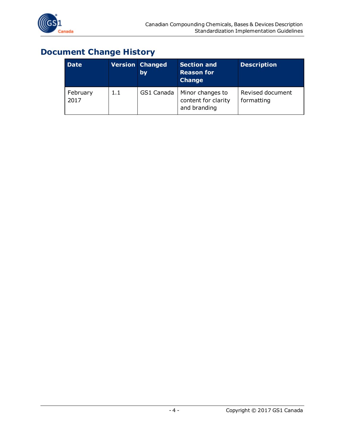

## **Document Change History**

| <b>Date</b>      |     | <b>Version Changed</b><br>by | <b>Section and</b><br><b>Reason for</b><br><b>Change</b> | <b>Description</b>             |
|------------------|-----|------------------------------|----------------------------------------------------------|--------------------------------|
| February<br>2017 | 1.1 | GS1 Canada                   | Minor changes to<br>content for clarity<br>and branding  | Revised document<br>formatting |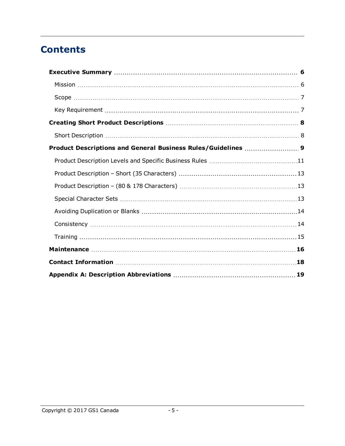## **Contents**

| Product Descriptions and General Business Rules/Guidelines  9 |  |
|---------------------------------------------------------------|--|
|                                                               |  |
|                                                               |  |
|                                                               |  |
|                                                               |  |
|                                                               |  |
|                                                               |  |
|                                                               |  |
|                                                               |  |
|                                                               |  |
|                                                               |  |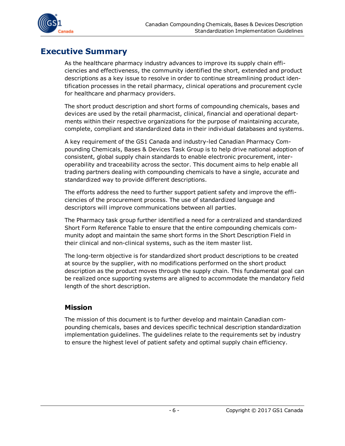

## <span id="page-5-0"></span>**Executive Summary**

As the healthcare pharmacy industry advances to improve its supply chain efficiencies and effectiveness, the community identified the short, extended and product descriptions as a key issue to resolve in order to continue streamlining product identification processes in the retail pharmacy, clinical operations and procurement cycle for healthcare and pharmacy providers.

The short product description and short forms of compounding chemicals, bases and devices are used by the retail pharmacist, clinical, financial and operational departments within their respective organizations for the purpose of maintaining accurate, complete, compliant and standardized data in their individual databases and systems.

A key requirement of the GS1 Canada and industry-led Canadian Pharmacy Compounding Chemicals, Bases & Devices Task Group is to help drive national adoption of consistent, global supply chain standards to enable electronic procurement, interoperability and traceability across the sector. This document aims to help enable all trading partners dealing with compounding chemicals to have a single, accurate and standardized way to provide different descriptions.

The efforts address the need to further support patient safety and improve the efficiencies of the procurement process. The use of standardized language and descriptors will improve communications between all parties.

The Pharmacy task group further identified a need for a centralized and standardized Short Form Reference Table to ensure that the entire compounding chemicals community adopt and maintain the same short forms in the Short Description Field in their clinical and non-clinical systems, such as the item master list.

The long-term objective is for standardized short product descriptions to be created at source by the supplier, with no modifications performed on the short product description as the product moves through the supply chain. This fundamental goal can be realized once supporting systems are aligned to accommodate the mandatory field length of the short description.

#### <span id="page-5-1"></span>**Mission**

The mission of this document is to further develop and maintain Canadian compounding chemicals, bases and devices specific technical description standardization implementation guidelines. The guidelines relate to the requirements set by industry to ensure the highest level of patient safety and optimal supply chain efficiency.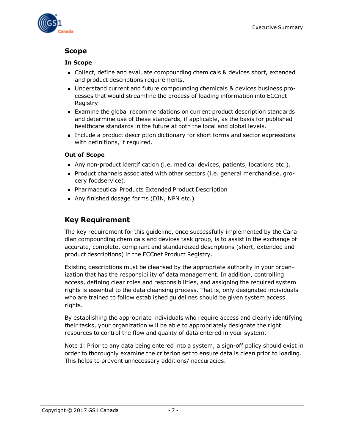

#### <span id="page-6-0"></span>**Scope**

#### **In Scope**

- <sup>n</sup> Collect, define and evaluate compounding chemicals & devices short, extended and product descriptions requirements.
- Understand current and future compounding chemicals & devices business processes that would streamline the process of loading information into ECCnet Registry
- **Examine the global recommendations on current product description standards** and determine use of these standards, if applicable, as the basis for published healthcare standards in the future at both the local and global levels.
- n Include a product description dictionary for short forms and sector expressions with definitions, if required.

#### **Out of Scope**

- n Any non-product identification (i.e. medical devices, patients, locations etc.).
- n Product channels associated with other sectors (i.e. general merchandise, grocery foodservice).
- Pharmaceutical Products Extended Product Description
- Any finished dosage forms (DIN, NPN etc.)

#### <span id="page-6-1"></span>**Key Requirement**

The key requirement for this guideline, once successfully implemented by the Canadian compounding chemicals and devices task group, is to assist in the exchange of accurate, complete, compliant and standardized descriptions (short, extended and product descriptions) in the ECCnet Product Registry.

Existing descriptions must be cleansed by the appropriate authority in your organization that has the responsibility of data management. In addition, controlling access, defining clear roles and responsibilities, and assigning the required system rights is essential to the data cleansing process. That is, only designated individuals who are trained to follow established guidelines should be given system access rights.

By establishing the appropriate individuals who require access and clearly identifying their tasks, your organization will be able to appropriately designate the right resources to control the flow and quality of data entered in your system.

Note 1: Prior to any data being entered into a system, a sign-off policy should exist in order to thoroughly examine the criterion set to ensure data is clean prior to loading. This helps to prevent unnecessary additions/inaccuracies.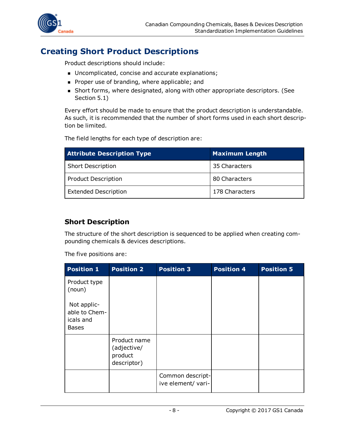

## <span id="page-7-0"></span>**Creating Short Product Descriptions**

Product descriptions should include:

- Uncomplicated, concise and accurate explanations;
- **Proper use of branding, where applicable; and**
- <sup>n</sup> Short forms, where designated, along with other appropriate descriptors. (See Section 5.1)

Every effort should be made to ensure that the product description is understandable. As such, it is recommended that the number of short forms used in each short description be limited.

The field lengths for each type of description are:

| <b>Attribute Description Type</b> | <b>Maximum Length</b> |  |
|-----------------------------------|-----------------------|--|
| Short Description                 | 35 Characters         |  |
| Product Description               | 80 Characters         |  |
| <b>Extended Description</b>       | 178 Characters        |  |

#### <span id="page-7-1"></span>**Short Description**

The structure of the short description is sequenced to be applied when creating compounding chemicals & devices descriptions.

The five positions are:

| <b>Position 1</b>                                         | <b>Position 2</b>                                     | <b>Position 3</b>                      | <b>Position 4</b> | <b>Position 5</b> |
|-----------------------------------------------------------|-------------------------------------------------------|----------------------------------------|-------------------|-------------------|
| Product type<br>(noun)                                    |                                                       |                                        |                   |                   |
| Not applic-<br>able to Chem-<br>icals and<br><b>Bases</b> |                                                       |                                        |                   |                   |
|                                                           | Product name<br>(adjective/<br>product<br>descriptor) |                                        |                   |                   |
|                                                           |                                                       | Common descript-<br>ive element/ vari- |                   |                   |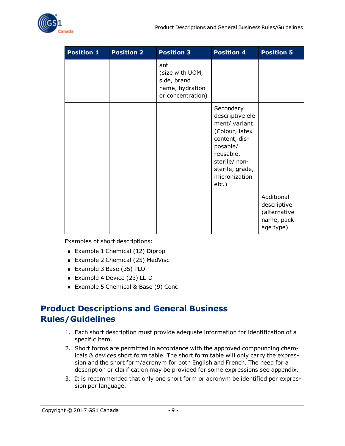

| <b>Position 1</b> | <b>Position 2</b> | <b>Position 3</b>                                                             | <b>Position 4</b>                                                                                                                                                           | <b>Position 5</b>                                                     |
|-------------------|-------------------|-------------------------------------------------------------------------------|-----------------------------------------------------------------------------------------------------------------------------------------------------------------------------|-----------------------------------------------------------------------|
|                   |                   | ant<br>(size with UOM,<br>side, brand<br>name, hydration<br>or concentration) |                                                                                                                                                                             |                                                                       |
|                   |                   |                                                                               | Secondary<br>descriptive ele-<br>ment/ variant<br>(Colour, latex<br>content, dis-<br>posable/<br>reusable,<br>sterile/ non-<br>sterile, grade,<br>micronization<br>$etc.$ ) |                                                                       |
|                   |                   |                                                                               |                                                                                                                                                                             | Additional<br>descriptive<br>(alternative<br>name, pack-<br>age type) |

Examples of short descriptions:

- Example 1 Chemical (12) Diprop
- Example 2 Chemical (25) MedVisc
- <sup>n</sup> Example 3 Base (35) PLO
- Example 4 Device (23) LL-D
- Example 5 Chemical & Base (9) Conc

## <span id="page-8-0"></span>**Product Descriptions and General Business Rules/Guidelines**

- 1. Each short description must provide adequate information for identification of a specific item.
- 2. Short forms are permitted in accordance with the approved compounding chemicals & devices short form table. The short form table will only carry the expression and the short form/acronym for both English and French. The need for a description or clarification may be provided for some expressions see appendix.
- 3. It is recommended that only one short form or acronym be identified per expression per language.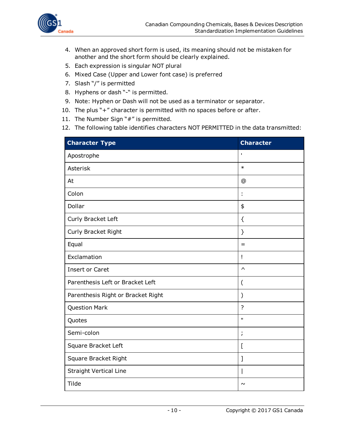

- 4. When an approved short form is used, its meaning should not be mistaken for another and the short form should be clearly explained.
- 5. Each expression is singular NOT plural
- 6. Mixed Case (Upper and Lower font case) is preferred
- 7. Slash "/" is permitted
- 8. Hyphens or dash "-" is permitted.
- 9. Note: Hyphen or Dash will not be used as a terminator or separator.
- 10. The plus "+" character is permitted with no spaces before or after.
- 11. The Number Sign "#" is permitted.
- 12. The following table identifies characters NOT PERMITTED in the data transmitted:

| <b>Character Type</b>              | <b>Character</b>      |
|------------------------------------|-----------------------|
| Apostrophe                         | T.                    |
| Asterisk                           | $\ast$                |
| At                                 | $\circledR$           |
| Colon                              | t                     |
| Dollar                             | \$                    |
| Curly Bracket Left                 | ₹                     |
| Curly Bracket Right                | }                     |
| Equal                              | $=$                   |
| Exclamation                        | Ţ                     |
| <b>Insert or Caret</b>             | $\boldsymbol{\wedge}$ |
| Parenthesis Left or Bracket Left   | (                     |
| Parenthesis Right or Bracket Right | ⟩                     |
| <b>Question Mark</b>               | $\overline{?}$        |
| Quotes                             | Ĥ.                    |
| Semi-colon                         | $\mathbf{r}$          |
| Square Bracket Left                | [                     |
| Square Bracket Right               | 1                     |
| <b>Straight Vertical Line</b>      |                       |
| Tilde                              | $\sim$                |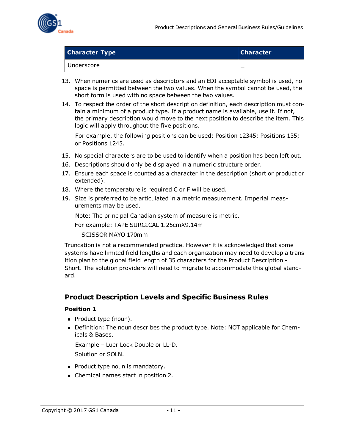

| <b>Character Type</b> | <b>Character</b> |
|-----------------------|------------------|
| Underscore            |                  |

- 13. When numerics are used as descriptors and an EDI acceptable symbol is used, no space is permitted between the two values. When the symbol cannot be used, the short form is used with no space between the two values.
- 14. To respect the order of the short description definition, each description must contain a minimum of a product type. If a product name is available, use it. If not, the primary description would move to the next position to describe the item. This logic will apply throughout the five positions.

For example, the following positions can be used: Position 12345; Positions 135; or Positions 1245.

- 15. No special characters are to be used to identify when a position has been left out.
- 16. Descriptions should only be displayed in a numeric structure order.
- 17. Ensure each space is counted as a character in the description (short or product or extended).
- 18. Where the temperature is required C or F will be used.
- 19. Size is preferred to be articulated in a metric measurement. Imperial measurements may be used.

Note: The principal Canadian system of measure is metric.

For example: TAPE SURGICAL 1.25cmX9.14m

SCISSOR MAYO 170mm

Truncation is not a recommended practice. However it is acknowledged that some systems have limited field lengths and each organization may need to develop a transition plan to the global field length of 35 characters for the Product Description - Short. The solution providers will need to migrate to accommodate this global standard.

#### <span id="page-10-0"></span>**Product Description Levels and Specific Business Rules**

#### **Position 1**

- **Product type (noun).**
- **•** Definition: The noun describes the product type. Note: NOT applicable for Chemicals & Bases.

Example – Luer Lock Double or LL-D. Solution or SOLN.

- **Product type noun is mandatory.**
- Chemical names start in position 2.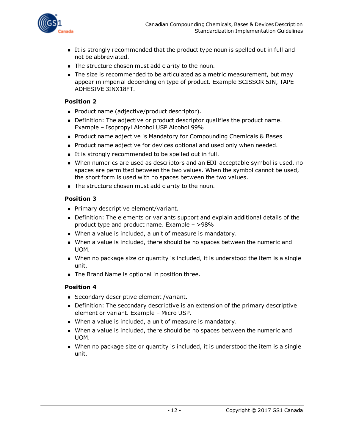

- <sup>n</sup> It is strongly recommended that the product type noun is spelled out in full and not be abbreviated.
- The structure chosen must add clarity to the noun.
- The size is recommended to be articulated as a metric measurement, but may appear in imperial depending on type of product. Example SCISSOR 5IN, TAPE ADHESIVE 3INX18FT.

#### **Position 2**

- Product name (adjective/product descriptor).
- Definition: The adjective or product descriptor qualifies the product name. Example – Isopropyl Alcohol USP Alcohol 99%
- Product name adjective is Mandatory for Compounding Chemicals & Bases
- **Product name adjective for devices optional and used only when needed.**
- It is strongly recommended to be spelled out in full.
- <sup>n</sup> When numerics are used as descriptors and an EDI-acceptable symbol is used, no spaces are permitted between the two values. When the symbol cannot be used, the short form is used with no spaces between the two values.
- The structure chosen must add clarity to the noun.

#### **Position 3**

- **Primary descriptive element/variant.**
- <sup>n</sup> Definition: The elements or variants support and explain additional details of the product type and product name. Example – >98%
- When a value is included, a unit of measure is mandatory.
- n When a value is included, there should be no spaces between the numeric and UOM.
- $\blacksquare$  When no package size or quantity is included, it is understood the item is a single unit.
- $\blacksquare$  The Brand Name is optional in position three.

#### **Position 4**

- Secondary descriptive element / variant.
- **Definition: The secondary descriptive is an extension of the primary descriptive** element or variant. Example – Micro USP.
- **Nhen a value is included, a unit of measure is mandatory.**
- n When a value is included, there should be no spaces between the numeric and UOM.
- **Nhen no package size or quantity is included, it is understood the item is a single** unit.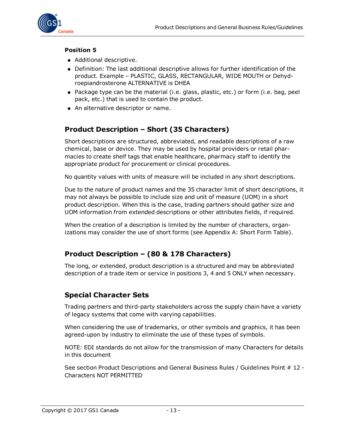

#### **Position 5**

- Additional descriptive.
- <sup>n</sup> Definition: The last additional descriptive allows for further identification of the product. Example – PLASTIC, GLASS, RECTANGULAR, WIDE MOUTH or Dehydroepiandrosterone ALTERNATIVE is DHEA
- **n** Package type can be the material (i.e. glass, plastic, etc.) or form (i.e. bag, peel pack, etc.) that is used to contain the product.
- An alternative descriptor or name.

#### <span id="page-12-0"></span>**Product Description – Short (35 Characters)**

Short descriptions are structured, abbreviated, and readable descriptions of a raw chemical, base or device. They may be used by hospital providers or retail pharmacies to create shelf tags that enable healthcare, pharmacy staff to identify the appropriate product for procurement or clinical procedures.

No quantity values with units of measure will be included in any short descriptions.

Due to the nature of product names and the 35 character limit of short descriptions, it may not always be possible to include size and unit of measure (UOM) in a short product description. When this is the case, trading partners should gather size and UOM information from extended descriptions or other attributes fields, if required.

When the creation of a description is limited by the number of characters, organizations may consider the use of short forms (see Appendix A: Short Form Table).

#### <span id="page-12-1"></span>**Product Description – (80 & 178 Characters)**

The long, or extended, product description is a structured and may be abbreviated description of a trade item or service in positions 3, 4 and 5 ONLY when necessary.

#### <span id="page-12-2"></span>**Special Character Sets**

Trading partners and third-party stakeholders across the supply chain have a variety of legacy systems that come with varying capabilities.

When considering the use of trademarks, or other symbols and graphics, it has been agreed-upon by industry to eliminate the use of these types of symbols.

NOTE: EDI standards do not allow for the transmission of many Characters for details in this document

See section Product Descriptions and General Business Rules / Guidelines Point # 12 - Characters NOT PERMITTED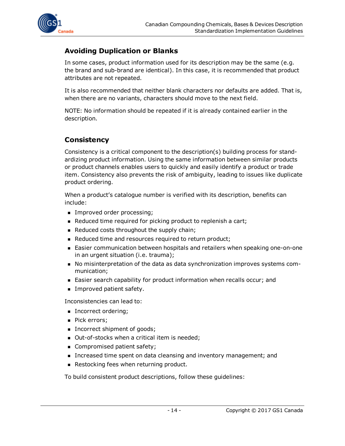

#### <span id="page-13-0"></span>**Avoiding Duplication or Blanks**

In some cases, product information used for its description may be the same (e.g. the brand and sub-brand are identical). In this case, it is recommended that product attributes are not repeated.

It is also recommended that neither blank characters nor defaults are added. That is, when there are no variants, characters should move to the next field.

NOTE: No information should be repeated if it is already contained earlier in the description.

### <span id="page-13-1"></span>**Consistency**

Consistency is a critical component to the description(s) building process for standardizing product information. Using the same information between similar products or product channels enables users to quickly and easily identify a product or trade item. Consistency also prevents the risk of ambiguity, leading to issues like duplicate product ordering.

When a product's catalogue number is verified with its description, benefits can include:

- Improved order processing;
- **EXEDENTE:** Reduced time required for picking product to replenish a cart;
- Reduced costs throughout the supply chain;
- Reduced time and resources required to return product;
- Easier communication between hospitals and retailers when speaking one-on-one in an urgent situation (i.e. trauma);
- <sup>n</sup> No misinterpretation of the data as data synchronization improves systems communication;
- Easier search capability for product information when recalls occur; and
- **n** Improved patient safety.

Inconsistencies can lead to:

- **n** Incorrect ordering;
- Pick errors;
- Incorrect shipment of goods;
- Out-of-stocks when a critical item is needed;
- **n** Compromised patient safety;
- **n** Increased time spent on data cleansing and inventory management; and
- **Restocking fees when returning product.**

To build consistent product descriptions, follow these guidelines: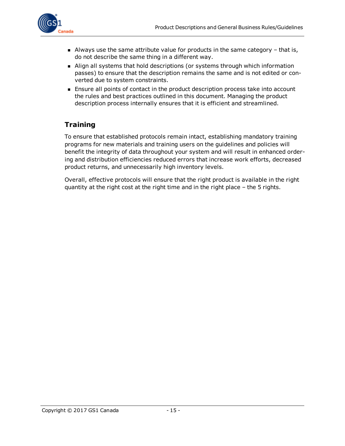

- $\blacksquare$  Always use the same attribute value for products in the same category  $-$  that is, do not describe the same thing in a different way.
- <sup>n</sup> Align all systems that hold descriptions (or systems through which information passes) to ensure that the description remains the same and is not edited or converted due to system constraints.
- **Ensure all points of contact in the product description process take into account** the rules and best practices outlined in this document. Managing the product description process internally ensures that it is efficient and streamlined.

#### <span id="page-14-0"></span>**Training**

To ensure that established protocols remain intact, establishing mandatory training programs for new materials and training users on the guidelines and policies will benefit the integrity of data throughout your system and will result in enhanced ordering and distribution efficiencies reduced errors that increase work efforts, decreased product returns, and unnecessarily high inventory levels.

Overall, effective protocols will ensure that the right product is available in the right quantity at the right cost at the right time and in the right place – the 5 rights.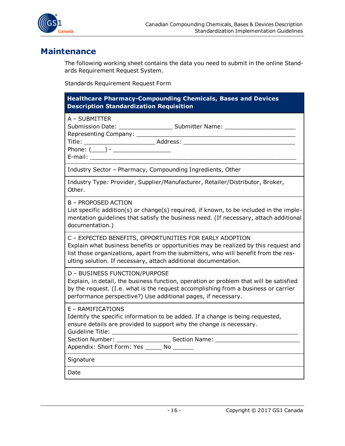

### <span id="page-15-0"></span>**Maintenance**

The following working sheet contains the data you need to submit in the online Standards Requirement Request System.

Standards Requirement Request Form

| <b>Healthcare Pharmacy-Compounding Chemicals, Bases and Devices</b><br><b>Description Standardization Requisition</b>                                                                                                                                                                                    |
|----------------------------------------------------------------------------------------------------------------------------------------------------------------------------------------------------------------------------------------------------------------------------------------------------------|
| A - SUBMITTER<br>Submission Date: ____________________________ Submitter Name: __________________                                                                                                                                                                                                        |
| Industry Sector - Pharmacy, Compounding Ingredients, Other                                                                                                                                                                                                                                               |
| Industry Type: Provider, Supplier/Manufacturer, Retailer/Distributor, Broker,<br>Other.                                                                                                                                                                                                                  |
| B – PROPOSED ACTION<br>List specific addition(s) or change(s) required, if known, to be included in the imple-<br>mentation guidelines that satisfy the business need. (If necessary, attach additional<br>documentation.)                                                                               |
| C - EXPECTED BENEFITS, OPPORTUNITIES FOR EARLY ADOPTION<br>Explain what business benefits or opportunities may be realized by this request and<br>list those organizations, apart from the submitters, who will benefit from the res-<br>ulting solution. If necessary, attach additional documentation. |
| D - BUSINESS FUNCTION/PURPOSE<br>Explain, in detail, the business function, operation or problem that will be satisfied<br>by the request. (I.e. what is the request accomplishing from a business or carrier<br>performance perspective?) Use additional pages, if necessary.                           |
| E - RAMIFICATIONS<br>Identify the specific information to be added. If a change is being requested,<br>ensure details are provided to support why the change is necessary.                                                                                                                               |
| Signature                                                                                                                                                                                                                                                                                                |
| Date                                                                                                                                                                                                                                                                                                     |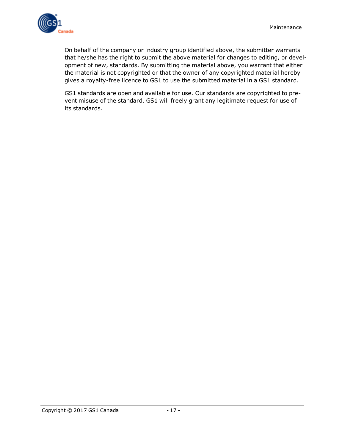

On behalf of the company or industry group identified above, the submitter warrants that he/she has the right to submit the above material for changes to editing, or development of new, standards. By submitting the material above, you warrant that either the material is not copyrighted or that the owner of any copyrighted material hereby gives a royalty-free licence to GS1 to use the submitted material in a GS1 standard.

GS1 standards are open and available for use. Our standards are copyrighted to prevent misuse of the standard. GS1 will freely grant any legitimate request for use of its standards.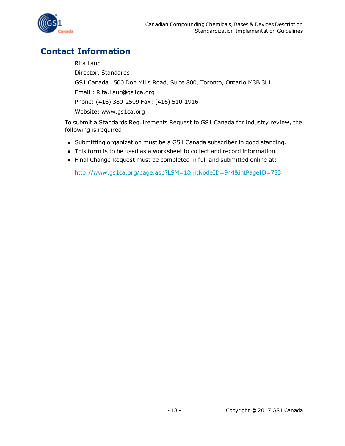

## <span id="page-17-0"></span>**Contact Information**

Rita Laur Director, Standards GS1 Canada 1500 Don Mills Road, Suite 800, Toronto, Ontario M3B 3L1 Email : Rita.Laur@gs1ca.org Phone: (416) 380-2509 Fax: (416) 510-1916 Website: www.gs1ca.org

To submit a Standards Requirements Request to GS1 Canada for industry review, the following is required:

- <sup>n</sup> Submitting organization must be a GS1 Canada subscriber in good standing.
- $\blacksquare$  This form is to be used as a worksheet to collect and record information.
- Final Change Request must be completed in full and submitted online at:

<http://www.gs1ca.org/page.asp?LSM=1&intNodeID=944&intPageID=733>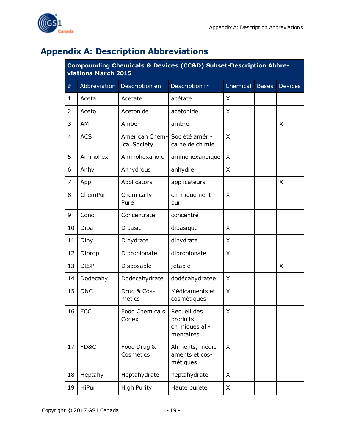



## <span id="page-18-0"></span>**Appendix A: Description Abbreviations**

| <b>Compounding Chemicals &amp; Devices (CC&amp;D) Subset-Description Abbre-</b> |  |
|---------------------------------------------------------------------------------|--|
| viations March 2015                                                             |  |

| $\#$        | Abbreviation | Description en                 | Description fr                                         | Chemical | <b>Bases</b> | <b>Devices</b> |  |
|-------------|--------------|--------------------------------|--------------------------------------------------------|----------|--------------|----------------|--|
| $\mathbf 1$ | Aceta        | Acetate                        | acétate                                                | X        |              |                |  |
| 2           | Aceto        | Acetonide                      | acétonide                                              | X        |              |                |  |
| 3           | AM           | Amber                          | ambré                                                  |          |              | X              |  |
| 4           | <b>ACS</b>   | American Chem-<br>ical Society | Société améri-<br>caine de chimie                      | X        |              |                |  |
| 5           | Aminohex     | Aminohexanoic                  | aminohexanoïque                                        | X        |              |                |  |
| 6           | Anhy         | Anhydrous                      | anhydre                                                | X        |              |                |  |
| 7           | App          | Applicators                    | applicateurs                                           |          |              | X              |  |
| 8           | ChemPur      | Chemically<br>Pure             | chimiquement<br>pur                                    | X        |              |                |  |
| 9           | Conc         | Concentrate                    | concentré                                              |          |              |                |  |
| 10          | Diba         | <b>Dibasic</b>                 | dibasique                                              | X        |              |                |  |
| 11          | Dihy         | Dihydrate                      | dihydrate                                              | X        |              |                |  |
| 12          | Diprop       | Dipropionate                   | dipropionate                                           | X        |              |                |  |
| 13          | <b>DISP</b>  | Disposable                     | jetable                                                |          |              | X              |  |
| 14          | Dodecahy     | Dodecahydrate                  | dodécahydratée                                         | X        |              |                |  |
| 15          | D&C          | Drug & Cos-<br>metics          | Médicaments et<br>cosmétiques                          | X        |              |                |  |
| 16          | <b>FCC</b>   | <b>Food Chemicals</b><br>Codex | Recueil des<br>produits<br>chimiques ali-<br>mentaires | X        |              |                |  |
| 17          | FD&C         | Food Drug &<br>Cosmetics       | Aliments, médic-<br>aments et cos-<br>métiques         | X        |              |                |  |
| 18          | Heptahy      | Heptahydrate                   | heptahydrate                                           | X.       |              |                |  |
| 19          | HiPur        | <b>High Purity</b>             | Haute pureté                                           | X        |              |                |  |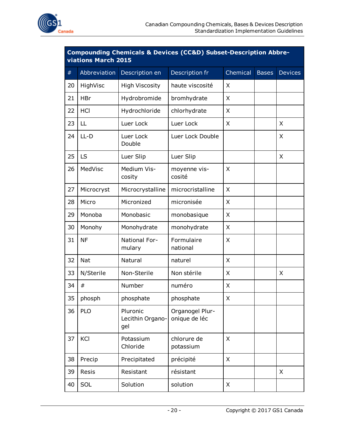

| <b>Compounding Chemicals &amp; Devices (CC&amp;D) Subset-Description Abbre-</b><br>viations March 2015 |              |                                     |                                  |          |              |                |  |  |  |
|--------------------------------------------------------------------------------------------------------|--------------|-------------------------------------|----------------------------------|----------|--------------|----------------|--|--|--|
| #                                                                                                      | Abbreviation | Description en                      | Description fr                   | Chemical | <b>Bases</b> | <b>Devices</b> |  |  |  |
| 20                                                                                                     | HighVisc     | <b>High Viscosity</b>               | haute viscosité                  | X        |              |                |  |  |  |
| 21                                                                                                     | <b>HBr</b>   | Hydrobromide                        | bromhydrate                      | X        |              |                |  |  |  |
| 22                                                                                                     | HCI          | Hydrochloride                       | chlorhydrate                     | X        |              |                |  |  |  |
| 23                                                                                                     | LL           | Luer Lock                           | Luer Lock                        | X        |              | X              |  |  |  |
| 24                                                                                                     | $LL-D$       | Luer Lock<br>Double                 | Luer Lock Double                 |          |              | X              |  |  |  |
| 25                                                                                                     | LS           | Luer Slip                           | Luer Slip                        |          |              | X              |  |  |  |
| 26                                                                                                     | MedVisc      | Medium Vis-<br>cosity               | moyenne vis-<br>cosité           | X        |              |                |  |  |  |
| 27                                                                                                     | Microcryst   | Microcrystalline                    | microcristalline                 | X        |              |                |  |  |  |
| 28                                                                                                     | Micro        | Micronized                          | micronisée                       | X        |              |                |  |  |  |
| 29                                                                                                     | Monoba       | Monobasic                           | monobasique                      | X        |              |                |  |  |  |
| 30                                                                                                     | Monohy       | Monohydrate                         | monohydrate                      | X        |              |                |  |  |  |
| 31                                                                                                     | <b>NF</b>    | National For-<br>mulary             | Formulaire<br>national           | X        |              |                |  |  |  |
| 32                                                                                                     | <b>Nat</b>   | Natural                             | naturel                          | X        |              |                |  |  |  |
| 33                                                                                                     | N/Sterile    | Non-Sterile                         | Non stérile                      | X        |              | X              |  |  |  |
| 34                                                                                                     | #            | Number                              | numéro                           | X        |              |                |  |  |  |
| 35                                                                                                     | phosph       | phosphate                           | phosphate                        | X        |              |                |  |  |  |
| 36                                                                                                     | <b>PLO</b>   | Pluronic<br>Lecithin Organo-<br>gel | Organogel Plur-<br>onique de léc |          |              |                |  |  |  |
| 37                                                                                                     | KCI          | Potassium<br>Chloride               | chlorure de<br>potassium         | X        |              |                |  |  |  |
| 38                                                                                                     | Precip       | Precipitated                        | précipité                        | X        |              |                |  |  |  |
| 39                                                                                                     | Resis        | Resistant                           | résistant                        |          |              | X              |  |  |  |
| 40                                                                                                     | SOL          | Solution                            | solution                         | X        |              |                |  |  |  |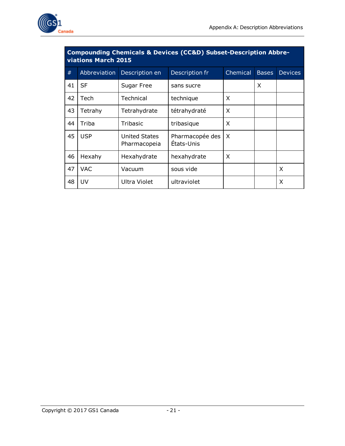

| Compounding Chemicals & Devices (CC&D) Subset-Description Abbre-<br>viations March 2015 |              |                                      |                               |          |              |                |  |  |  |  |
|-----------------------------------------------------------------------------------------|--------------|--------------------------------------|-------------------------------|----------|--------------|----------------|--|--|--|--|
| #                                                                                       | Abbreviation | Description en                       | Description fr                | Chemical | <b>Bases</b> | <b>Devices</b> |  |  |  |  |
| 41                                                                                      | <b>SF</b>    | Sugar Free                           | sans sucre                    |          | X            |                |  |  |  |  |
| 42                                                                                      | Tech         | Technical                            | technique                     | X        |              |                |  |  |  |  |
| 43                                                                                      | Tetrahy      | Tetrahydrate                         | tétrahydraté                  | X        |              |                |  |  |  |  |
| 44                                                                                      | Triba        | Tribasic                             | tribasique                    | X        |              |                |  |  |  |  |
| 45                                                                                      | <b>USP</b>   | <b>United States</b><br>Pharmacopeia | Pharmacopée des<br>États-Unis | $\times$ |              |                |  |  |  |  |
| 46                                                                                      | Hexahy       | Hexahydrate                          | hexahydrate                   | X        |              |                |  |  |  |  |
| 47                                                                                      | <b>VAC</b>   | Vacuum                               | sous vide                     |          |              | X              |  |  |  |  |
| 48                                                                                      | UV           | <b>Ultra Violet</b>                  | ultraviolet                   |          |              | Χ              |  |  |  |  |

# **Compounding Chemicals & Devices (CC&D) Subset-Description Abbre-**